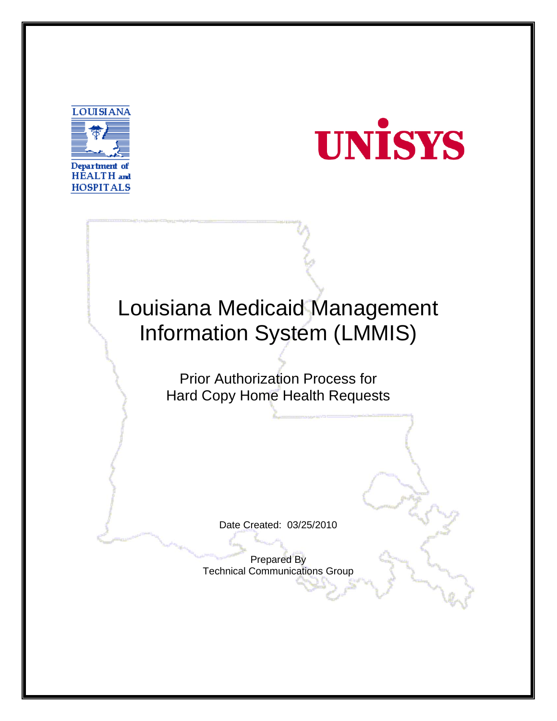



# Louisiana Medicaid Management Information System (LMMIS)

Prior Authorization Process for Hard Copy Home Health Requests

Date Created: 03/25/2010

Prepared By Technical Communications Group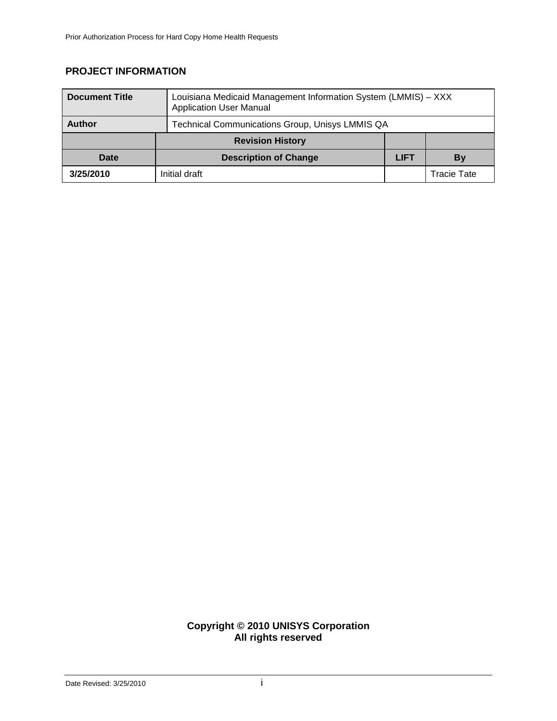## **PROJECT INFORMATION**

| <b>Document Title</b> | Louisiana Medicaid Management Information System (LMMIS) - XXX<br><b>Application User Manual</b> |             |             |
|-----------------------|--------------------------------------------------------------------------------------------------|-------------|-------------|
| <b>Author</b>         | Technical Communications Group, Unisys LMMIS QA                                                  |             |             |
|                       | <b>Revision History</b>                                                                          |             |             |
| Date                  | <b>Description of Change</b>                                                                     | <b>LIFT</b> | By          |
| 3/25/2010             | Initial draft                                                                                    |             | Tracie Tate |

#### **Copyright © 2010 UNISYS Corporation All rights reserved**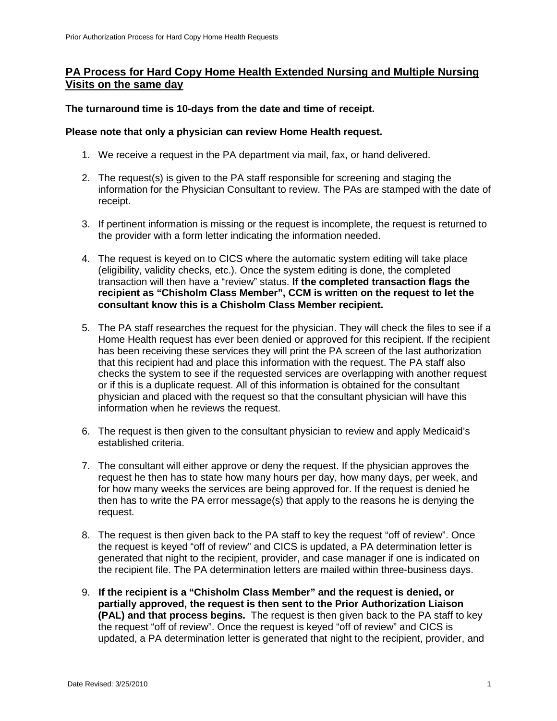## **PA Process for Hard Copy Home Health Extended Nursing and Multiple Nursing Visits on the same day**

**The turnaround time is 10-days from the date and time of receipt.** 

### **Please note that only a physician can review Home Health request.**

- 1. We receive a request in the PA department via mail, fax, or hand delivered.
- 2. The request(s) is given to the PA staff responsible for screening and staging the information for the Physician Consultant to review. The PAs are stamped with the date of receipt.
- 3. If pertinent information is missing or the request is incomplete, the request is returned to the provider with a form letter indicating the information needed.
- 4. The request is keyed on to CICS where the automatic system editing will take place (eligibility, validity checks, etc.). Once the system editing is done, the completed transaction will then have a "review" status. **If the completed transaction flags the recipient as "Chisholm Class Member", CCM is written on the request to let the consultant know this is a Chisholm Class Member recipient.**
- 5. The PA staff researches the request for the physician. They will check the files to see if a Home Health request has ever been denied or approved for this recipient. If the recipient has been receiving these services they will print the PA screen of the last authorization that this recipient had and place this information with the request. The PA staff also checks the system to see if the requested services are overlapping with another request or if this is a duplicate request. All of this information is obtained for the consultant physician and placed with the request so that the consultant physician will have this information when he reviews the request.
- 6. The request is then given to the consultant physician to review and apply Medicaid's established criteria.
- 7. The consultant will either approve or deny the request. If the physician approves the request he then has to state how many hours per day, how many days, per week, and for how many weeks the services are being approved for. If the request is denied he then has to write the PA error message(s) that apply to the reasons he is denying the request.
- 8. The request is then given back to the PA staff to key the request "off of review". Once the request is keyed "off of review" and CICS is updated, a PA determination letter is generated that night to the recipient, provider, and case manager if one is indicated on the recipient file. The PA determination letters are mailed within three-business days.
- 9. **If the recipient is a "Chisholm Class Member" and the request is denied, or partially approved, the request is then sent to the Prior Authorization Liaison (PAL) and that process begins.** The request is then given back to the PA staff to key the request "off of review". Once the request is keyed "off of review" and CICS is updated, a PA determination letter is generated that night to the recipient, provider, and